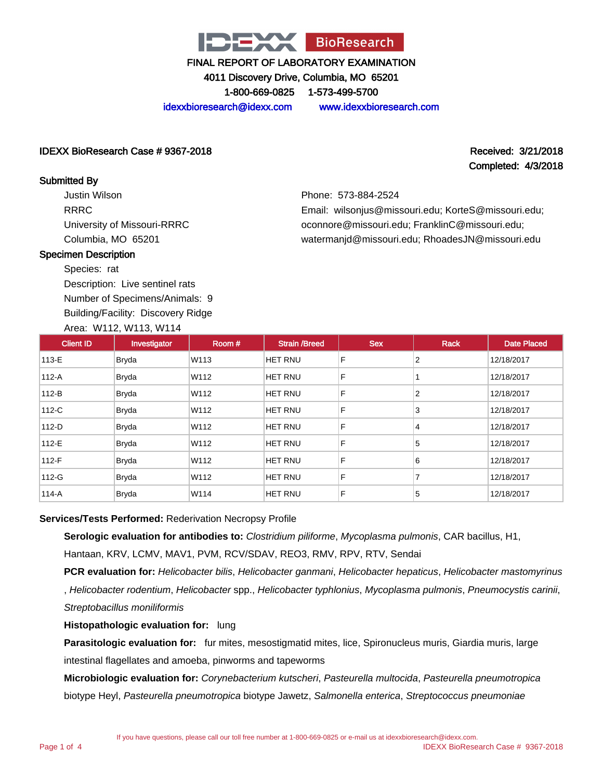

4011 Discovery Drive, Columbia, MO 65201

1-800-669-0825 1-573-499-5700

idexxbioresearch@idexx.com www.idexxbioresearch.com

#### IDEXX BioResearch Case # 9367-2018 Received: 3/21/2018

Completed: 4/3/2018

#### Submitted By

Justin Wilson RRRC University of Missouri-RRRC Columbia, MO 65201

Phone: 573-884-2524 Email: wilsonjus@missouri.edu; KorteS@missouri.edu; oconnore@missouri.edu; FranklinC@missouri.edu; watermanjd@missouri.edu; RhoadesJN@missouri.edu

#### Specimen Description

Species: rat

Description: Live sentinel rats Number of Specimens/Animals: 9

Building/Facility: Discovery Ridge

#### Area: W112, W113, W114

| <b>Client ID</b> | Investigator | Room# | <b>Strain /Breed</b> | <b>Sex</b> | <b>Rack</b>    | <b>Date Placed</b> |
|------------------|--------------|-------|----------------------|------------|----------------|--------------------|
| 113-E            | Bryda        | W113  | <b>HET RNU</b>       | F          | 2              | 12/18/2017         |
| 112-A            | Bryda        | W112  | <b>HET RNU</b>       | F          |                | 12/18/2017         |
| $112-B$          | Bryda        | W112  | <b>HET RNU</b>       | F          | 2              | 12/18/2017         |
| 112-C            | Bryda        | W112  | <b>HET RNU</b>       | F          | 3              | 12/18/2017         |
| 112-D            | Bryda        | W112  | <b>HET RNU</b>       | F          | $\overline{4}$ | 12/18/2017         |
| 112-E            | Bryda        | W112  | <b>HET RNU</b>       | F          | 5              | 12/18/2017         |
| 112-F            | <b>Bryda</b> | W112  | <b>HET RNU</b>       | F          | 6              | 12/18/2017         |
| 112-G            | <b>Bryda</b> | W112  | <b>HET RNU</b>       | F          | $\overline{7}$ | 12/18/2017         |
| 114-A            | <b>Bryda</b> | W114  | HET RNU              | F          | 5              | 12/18/2017         |

#### **Services/Tests Performed:** Rederivation Necropsy Profile

**Serologic evaluation for antibodies to:** Clostridium piliforme, Mycoplasma pulmonis, CAR bacillus, H1, Hantaan, KRV, LCMV, MAV1, PVM, RCV/SDAV, REO3, RMV, RPV, RTV, Sendai

**PCR evaluation for:** Helicobacter bilis, Helicobacter ganmani, Helicobacter hepaticus, Helicobacter mastomyrinus , Helicobacter rodentium, Helicobacter spp., Helicobacter typhlonius, Mycoplasma pulmonis, Pneumocystis carinii, Streptobacillus moniliformis

**Histopathologic evaluation for:** lung

**Parasitologic evaluation for:** fur mites, mesostigmatid mites, lice, Spironucleus muris, Giardia muris, large intestinal flagellates and amoeba, pinworms and tapeworms

**Microbiologic evaluation for:** Corynebacterium kutscheri, Pasteurella multocida, Pasteurella pneumotropica biotype Heyl, Pasteurella pneumotropica biotype Jawetz, Salmonella enterica, Streptococcus pneumoniae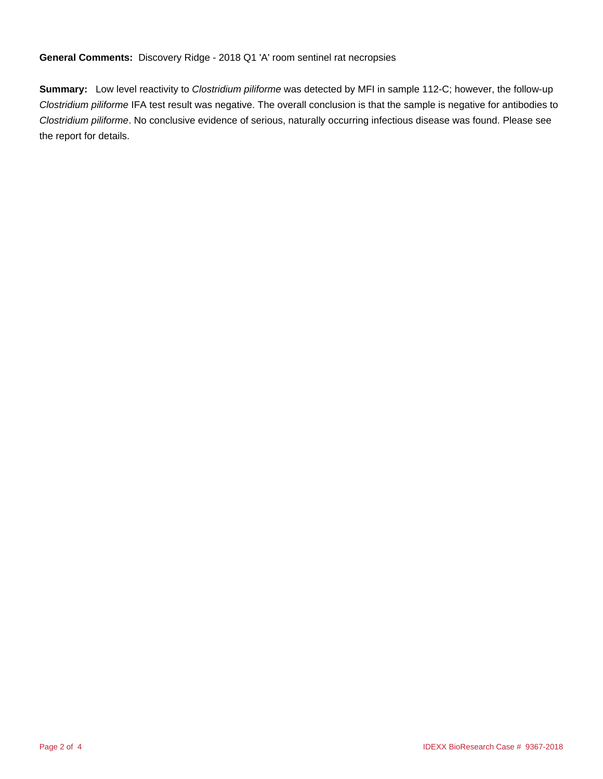**General Comments:** Discovery Ridge - 2018 Q1 'A' room sentinel rat necropsies

**Summary:** Low level reactivity to Clostridium piliforme was detected by MFI in sample 112-C; however, the follow-up Clostridium piliforme IFA test result was negative. The overall conclusion is that the sample is negative for antibodies to Clostridium piliforme. No conclusive evidence of serious, naturally occurring infectious disease was found. Please see the report for details.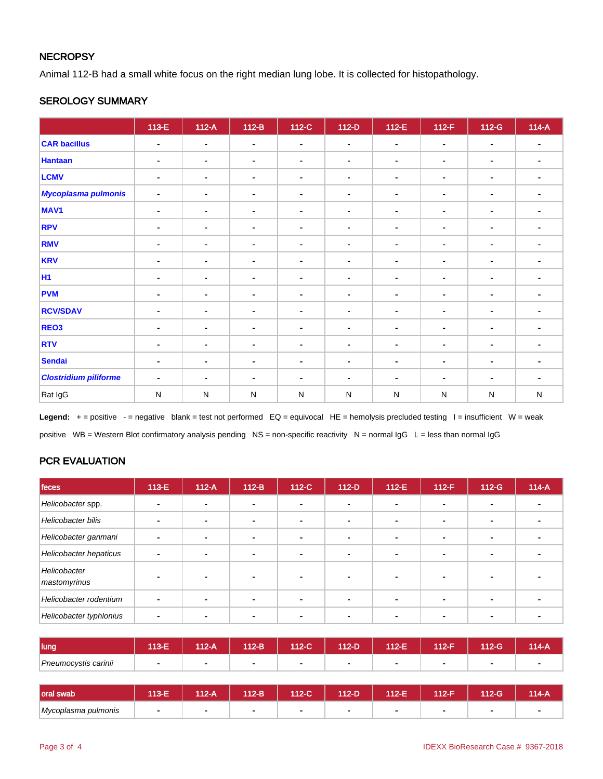#### **NECROPSY**

Animal 112-B had a small white focus on the right median lung lobe. It is collected for histopathology.

#### SEROLOGY SUMMARY

|                              | 113-E          | $112-A$        | $112-B$        | 112-C          | $112-D$        | $112-E$        | $112-F$        | $112-G$        | $114-A$                  |
|------------------------------|----------------|----------------|----------------|----------------|----------------|----------------|----------------|----------------|--------------------------|
| <b>CAR bacillus</b>          | $\blacksquare$ | $\blacksquare$ | $\blacksquare$ | $\blacksquare$ | $\blacksquare$ | $\blacksquare$ | $\blacksquare$ | $\blacksquare$ | $\overline{\phantom{a}}$ |
| <b>Hantaan</b>               | ٠              | $\blacksquare$ | $\blacksquare$ | $\blacksquare$ | $\blacksquare$ | $\blacksquare$ | ۰              | $\blacksquare$ |                          |
| <b>LCMV</b>                  | ۰              | $\blacksquare$ | $\blacksquare$ | $\blacksquare$ | ۰              | $\blacksquare$ | ۰              | $\blacksquare$ |                          |
| <b>Mycoplasma pulmonis</b>   | $\blacksquare$ | $\blacksquare$ | $\blacksquare$ | $\blacksquare$ | $\blacksquare$ | $\blacksquare$ | $\sim$         | $\blacksquare$ |                          |
| MAV <sub>1</sub>             | $\blacksquare$ | $\blacksquare$ | $\blacksquare$ | $\blacksquare$ | $\blacksquare$ | $\sim$         | $\blacksquare$ | $\blacksquare$ |                          |
| <b>RPV</b>                   | -              | $\blacksquare$ | $\blacksquare$ | $\blacksquare$ | ۰              | $\blacksquare$ | ۰              | $\blacksquare$ | $\blacksquare$           |
| <b>RMV</b>                   | ٠              | $\blacksquare$ | $\blacksquare$ | $\blacksquare$ | $\blacksquare$ | $\blacksquare$ | $\blacksquare$ | $\blacksquare$ |                          |
| <b>KRV</b>                   | ٠              | $\blacksquare$ | $\blacksquare$ | $\blacksquare$ | ۰              | $\blacksquare$ | $\blacksquare$ | $\blacksquare$ | $\blacksquare$           |
| <b>H1</b>                    | ٠              | $\blacksquare$ | $\blacksquare$ | $\blacksquare$ | $\blacksquare$ | $\sim$         | $\blacksquare$ | $\blacksquare$ |                          |
| <b>PVM</b>                   | ٠              | $\blacksquare$ | $\blacksquare$ | $\blacksquare$ | ۰              | $\blacksquare$ | $\blacksquare$ | $\blacksquare$ |                          |
| <b>RCV/SDAV</b>              | ۰              | $\blacksquare$ | $\blacksquare$ | $\blacksquare$ | ۰              | $\blacksquare$ | $\blacksquare$ | $\blacksquare$ | $\blacksquare$           |
| REO <sub>3</sub>             | $\blacksquare$ | $\blacksquare$ | $\blacksquare$ | $\blacksquare$ | $\blacksquare$ | $\blacksquare$ | $\blacksquare$ | $\blacksquare$ |                          |
| <b>RTV</b>                   | ٠              | $\blacksquare$ | $\blacksquare$ | $\blacksquare$ | ٠              | $\blacksquare$ | ٠              | $\blacksquare$ |                          |
| <b>Sendai</b>                | ۰              | $\blacksquare$ | $\blacksquare$ | $\blacksquare$ | ۰              | $\blacksquare$ | $\blacksquare$ | $\blacksquare$ |                          |
| <b>Clostridium piliforme</b> | $\blacksquare$ | $\blacksquare$ | $\blacksquare$ | $\blacksquare$ | $\blacksquare$ | $\blacksquare$ | $\blacksquare$ | $\blacksquare$ |                          |
| Rat IgG                      | $\mathsf{N}$   | ${\sf N}$      | $\mathsf{N}$   | ${\sf N}$      | N              | ${\sf N}$      | $\mathsf{N}$   | N              | ${\sf N}$                |

Legend: + = positive - = negative blank = test not performed EQ = equivocal HE = hemolysis precluded testing I = insufficient W = weak positive WB = Western Blot confirmatory analysis pending NS = non-specific reactivity N = normal IgG L = less than normal IgG

### PCR EVALUATION

| feces                        | 113-E | $112-A$ | $112-B$        | 112-C                    | $112-D$ | $112-E$ | $112-F$ | $112-G$        | $114-A$ |
|------------------------------|-------|---------|----------------|--------------------------|---------|---------|---------|----------------|---------|
| Helicobacter spp.            |       |         | $\blacksquare$ | $\overline{\phantom{0}}$ |         |         |         | $\blacksquare$ |         |
| Helicobacter bilis           |       |         | ٠              |                          |         |         |         | -              |         |
| Helicobacter ganmani         | -     |         | ۰              | $\overline{\phantom{a}}$ |         |         |         |                |         |
| Helicobacter hepaticus       |       |         | ÷              | $\overline{\phantom{0}}$ |         |         |         | -              |         |
| Helicobacter<br>mastomyrinus |       |         |                |                          |         |         |         |                |         |
| Helicobacter rodentium       |       |         |                |                          |         |         |         |                |         |
| Helicobacter typhlonius      |       |         |                |                          |         |         |         |                |         |

| lung                 | 13.E<br>na m | 12-A | 112-B          | 112-C | 112-D | 112-E | 112-F | 112-G | 114-A |
|----------------------|--------------|------|----------------|-------|-------|-------|-------|-------|-------|
| Pneumocystis carinii |              |      | $\blacksquare$ | -     |       |       |       | -     |       |

| <b>loral swab</b>   | <b><i>AO</i></b> | $12-A$ | 112-B | 112-C | $12-D$ | 112-E | 112-F | $12-G$ | $14-A$ |
|---------------------|------------------|--------|-------|-------|--------|-------|-------|--------|--------|
| Mycoplasma pulmonis |                  |        |       | л.    |        |       |       |        |        |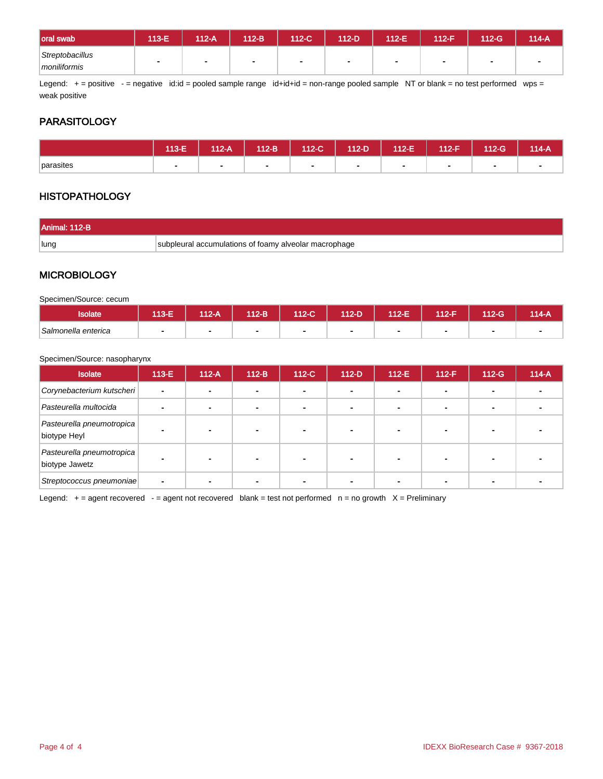| oral swab                       | 113-E | 112-A | 112-B | 112-C | 112-D | 112-E | $A12-F$ | 112-G | 114-A |
|---------------------------------|-------|-------|-------|-------|-------|-------|---------|-------|-------|
| Streptobacillus<br>moniliformis |       |       |       | л.    |       |       |         |       |       |

Legend: + = positive - = negative id:id = pooled sample range id+id+id = non-range pooled sample NT or blank = no test performed wps = weak positive

### **PARASITOLOGY**

|           | 113-E | 112-A | $112-B$ | 112-C | 112-D | <b>112-E</b> | 112-F          | 112-G | 114-A |
|-----------|-------|-------|---------|-------|-------|--------------|----------------|-------|-------|
| parasites |       |       |         |       |       | ۰            | $\blacksquare$ | -     |       |

### **HISTOPATHOLOGY**

| Animal: 112-B |                                                       |
|---------------|-------------------------------------------------------|
| Hund          | subpleural accumulations of foamy alveolar macrophage |

#### **MICROBIOLOGY**

Specimen/Source: cecum

| solate              | 113-E | 112-A | 112-B | 112-C' | 112-D | 112-E | 112-F | <b>12-G</b> | $14 - A$ |
|---------------------|-------|-------|-------|--------|-------|-------|-------|-------------|----------|
| Salmonella enterica |       |       |       |        | ۰     |       | -     |             |          |

#### Specimen/Source: nasopharynx

| <b>Isolate</b>                              | $113-E$        | $112-A$ | $112-B$ | 112-C | $112-D$ | $112-E$ | $112-F$ | $112-G$ | $114-A$ |
|---------------------------------------------|----------------|---------|---------|-------|---------|---------|---------|---------|---------|
| Corynebacterium kutscheri                   | $\overline{a}$ |         |         |       |         | ٠       |         |         |         |
| Pasteurella multocida                       |                |         |         |       | -       | -       |         |         |         |
| Pasteurella pneumotropica<br>biotype Heyl   |                |         |         |       |         |         |         |         |         |
| Pasteurella pneumotropica<br>biotype Jawetz |                |         |         |       |         |         |         |         |         |
| Streptococcus pneumoniae                    |                |         |         |       |         |         |         |         |         |

Legend:  $+=$  agent recovered  $-$  = agent not recovered blank = test not performed  $n =$  no growth  $X =$  Preliminary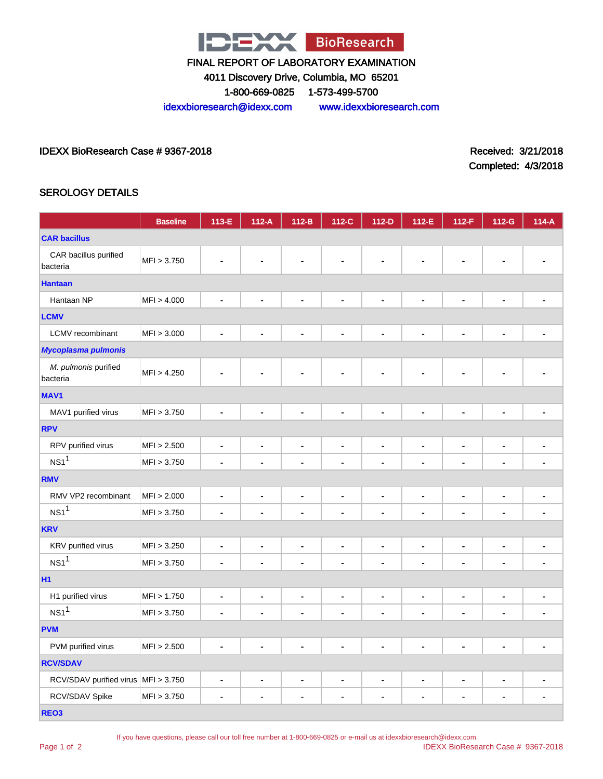

4011 Discovery Drive, Columbia, MO 65201

1-800-669-0825 1-573-499-5700

idexxbioresearch@idexx.com www.idexxbioresearch.com

IDEXX BioResearch Case # 9367-2018 Received: 3/21/2018

Completed: 4/3/2018

#### SEROLOGY DETAILS

|                                     | <b>Baseline</b> | 113-E                        | $112-A$                  | $112-B$                      | 112-C                        | $112-D$                      | 112-E                    | $112-F$                      | 112-G                        | $114-A$                      |
|-------------------------------------|-----------------|------------------------------|--------------------------|------------------------------|------------------------------|------------------------------|--------------------------|------------------------------|------------------------------|------------------------------|
| <b>CAR bacillus</b>                 |                 |                              |                          |                              |                              |                              |                          |                              |                              |                              |
| CAR bacillus purified<br>bacteria   | MFI > 3.750     |                              |                          |                              |                              |                              |                          |                              |                              |                              |
| <b>Hantaan</b>                      |                 |                              |                          |                              |                              |                              |                          |                              |                              |                              |
| Hantaan NP                          | MFI > 4.000     |                              |                          | $\blacksquare$               | $\blacksquare$               | $\blacksquare$               | $\blacksquare$           | Ē.                           | ۰                            |                              |
| <b>LCMV</b>                         |                 |                              |                          |                              |                              |                              |                          |                              |                              |                              |
| <b>LCMV</b> recombinant             | MFI > 3.000     | L,                           | $\blacksquare$           | Ĭ.                           | $\blacksquare$               | $\blacksquare$               | $\blacksquare$           | $\overline{a}$               | $\blacksquare$               |                              |
| <b>Mycoplasma pulmonis</b>          |                 |                              |                          |                              |                              |                              |                          |                              |                              |                              |
| M. pulmonis purified<br>bacteria    | MFI > 4.250     |                              |                          |                              |                              |                              |                          |                              |                              |                              |
| MAV <sub>1</sub>                    |                 |                              |                          |                              |                              |                              |                          |                              |                              |                              |
| MAV1 purified virus                 | MFI > 3.750     | $\blacksquare$               | ä,                       | ÷                            | $\blacksquare$               | $\blacksquare$               | $\blacksquare$           | $\blacksquare$               | $\blacksquare$               | ۰                            |
| <b>RPV</b>                          |                 |                              |                          |                              |                              |                              |                          |                              |                              |                              |
| RPV purified virus                  | MFI > 2.500     | $\blacksquare$               | $\overline{\phantom{a}}$ | $\qquad \qquad \blacksquare$ | $\qquad \qquad \blacksquare$ | $\blacksquare$               | $\blacksquare$           | $\blacksquare$               | $\qquad \qquad \blacksquare$ | $\blacksquare$               |
| NS1 <sup>1</sup>                    | MFI > 3.750     | ä,                           |                          | ä,                           | $\blacksquare$               | ä,                           | $\blacksquare$           | $\blacksquare$               | $\blacksquare$               | $\blacksquare$               |
| <b>RMV</b>                          |                 |                              |                          |                              |                              |                              |                          |                              |                              |                              |
| RMV VP2 recombinant                 | MFI > 2.000     | ä,                           | $\blacksquare$           | $\qquad \qquad \blacksquare$ | $\qquad \qquad \blacksquare$ | $\blacksquare$               | $\blacksquare$           | -                            | $\qquad \qquad \blacksquare$ | $\blacksquare$               |
| NS1 <sup>1</sup>                    | MFI > 3.750     | $\blacksquare$               | ۰                        | ä,                           | $\blacksquare$               | $\blacksquare$               | $\blacksquare$           | $\blacksquare$               | $\frac{1}{2}$                | $\blacksquare$               |
| <b>KRV</b>                          |                 |                              |                          |                              |                              |                              |                          |                              |                              |                              |
| KRV purified virus                  | MFI > 3.250     | $\qquad \qquad \blacksquare$ | $\blacksquare$           | $\qquad \qquad \blacksquare$ | $\qquad \qquad \blacksquare$ | $\qquad \qquad \blacksquare$ | $\overline{\phantom{a}}$ | -                            | $\qquad \qquad \blacksquare$ | $\qquad \qquad \blacksquare$ |
| $NS1$ <sup>1</sup>                  | MFI > 3.750     | $\blacksquare$               |                          | ä,                           | $\blacksquare$               | $\blacksquare$               | $\blacksquare$           | ۰                            | $\blacksquare$               |                              |
| <b>H1</b>                           |                 |                              |                          |                              |                              |                              |                          |                              |                              |                              |
| H1 purified virus                   | MFI > 1.750     | $\qquad \qquad \blacksquare$ | $\overline{\phantom{0}}$ | $\qquad \qquad \blacksquare$ | $\qquad \qquad \blacksquare$ | $\blacksquare$               | $\blacksquare$           | $\qquad \qquad \blacksquare$ | $\qquad \qquad \blacksquare$ | $\blacksquare$               |
| NS1 <sup>1</sup>                    | MFI > 3.750     | $\blacksquare$               |                          | ä,                           | $\blacksquare$               | ä,                           | $\blacksquare$           | ä,                           | ۰                            | ٠                            |
| <b>PVM</b>                          |                 |                              |                          |                              |                              |                              |                          |                              |                              |                              |
| PVM purified virus                  | MFI > 2.500     |                              |                          |                              | $\blacksquare$               | $\blacksquare$               | $\blacksquare$           | L,                           | $\blacksquare$               |                              |
| <b>RCV/SDAV</b>                     |                 |                              |                          |                              |                              |                              |                          |                              |                              |                              |
| RCV/SDAV purified virus MFI > 3.750 |                 | ۰                            | $\blacksquare$           | Ĭ.                           | $\blacksquare$               | $\blacksquare$               | $\blacksquare$           | $\qquad \qquad \blacksquare$ | $\blacksquare$               |                              |
| RCV/SDAV Spike                      | MFI > 3.750     | $\blacksquare$               | $\blacksquare$           | $\blacksquare$               | $\blacksquare$               | $\blacksquare$               | $\blacksquare$           | -                            | $\blacksquare$               | $\blacksquare$               |
| REO <sub>3</sub>                    |                 |                              |                          |                              |                              |                              |                          |                              |                              |                              |

Page 1 of 2

If you have questions, please call our toll free number at 1-800-669-0825 or e-mail us at idexxbioresearch@idexx.com.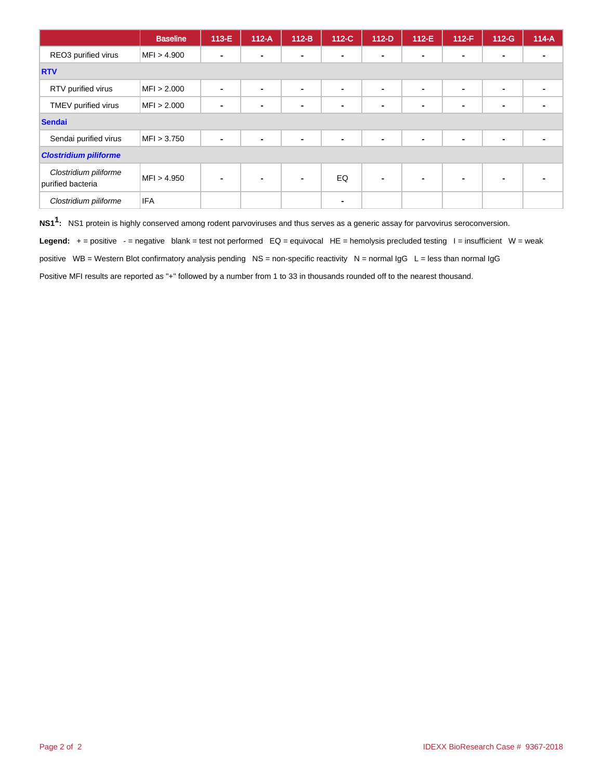|                                            | <b>Baseline</b> | 113-E | $112-A$                  | $112-B$        | $112-C$        | $112-D$                  | $112-E$        | $112-F$        | $112-G$ | $114-A$ |
|--------------------------------------------|-----------------|-------|--------------------------|----------------|----------------|--------------------------|----------------|----------------|---------|---------|
| REO3 purified virus                        | MFI > 4.900     |       | $\overline{\phantom{0}}$ | $\blacksquare$ | $\blacksquare$ | $\blacksquare$           | $\blacksquare$ | $\blacksquare$ |         |         |
| <b>RTV</b>                                 |                 |       |                          |                |                |                          |                |                |         |         |
| RTV purified virus                         | MFI > 2.000     |       | -                        | ٠              | $\blacksquare$ | $\overline{\phantom{a}}$ | $\blacksquare$ | $\blacksquare$ | -       |         |
| TMEV purified virus                        | MFI > 2.000     |       |                          | $\blacksquare$ | $\blacksquare$ |                          | $\blacksquare$ | $\blacksquare$ |         |         |
| <b>Sendai</b>                              |                 |       |                          |                |                |                          |                |                |         |         |
| Sendai purified virus                      | MFI > 3.750     |       |                          | $\blacksquare$ | $\blacksquare$ | $\blacksquare$           | $\blacksquare$ | $\blacksquare$ | -       |         |
| <b>Clostridium piliforme</b>               |                 |       |                          |                |                |                          |                |                |         |         |
| Clostridium piliforme<br>purified bacteria | MFI > 4.950     |       |                          | $\blacksquare$ | EQ             | $\blacksquare$           |                | $\blacksquare$ |         |         |
| Clostridium piliforme                      | <b>IFA</b>      |       |                          |                | $\blacksquare$ |                          |                |                |         |         |

**NS11 :** NS1 protein is highly conserved among rodent parvoviruses and thus serves as a generic assay for parvovirus seroconversion.

Legend: + = positive - = negative blank = test not performed EQ = equivocal HE = hemolysis precluded testing l = insufficient W = weak

positive  $WB = Western Blot confirmatory analysis pending NS = non-specific reactivity  $N = normal IgG L = less than normal IgG$$ 

Positive MFI results are reported as "+" followed by a number from 1 to 33 in thousands rounded off to the nearest thousand.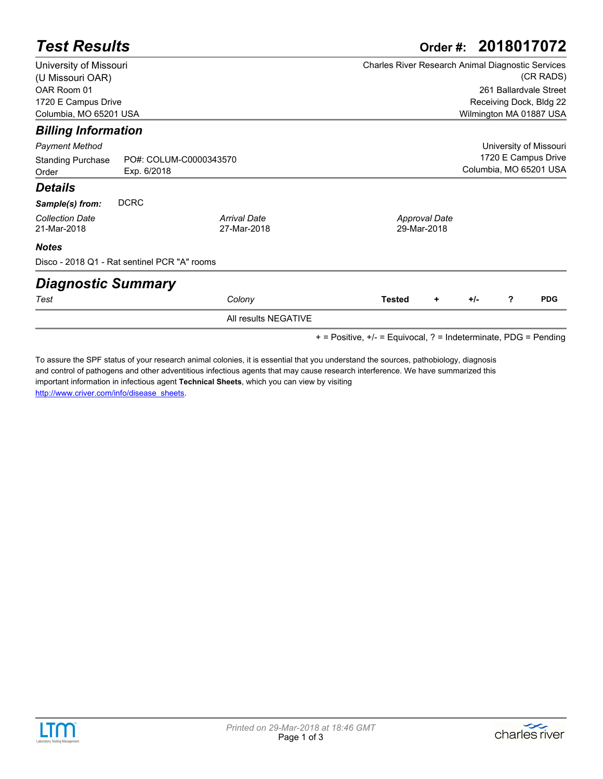| <b>Test Results</b>                                                              |                                              |                                    | Order #: 2018017072                                                                                                 |  |  |  |
|----------------------------------------------------------------------------------|----------------------------------------------|------------------------------------|---------------------------------------------------------------------------------------------------------------------|--|--|--|
| University of Missouri<br>(U Missouri OAR)<br>OAR Room 01<br>1720 E Campus Drive |                                              |                                    | Charles River Research Animal Diagnostic Services<br>(CR RADS)<br>261 Ballardvale Street<br>Receiving Dock, Bldg 22 |  |  |  |
| Columbia, MO 65201 USA                                                           |                                              |                                    | Wilmington MA 01887 USA                                                                                             |  |  |  |
| <b>Billing Information</b>                                                       |                                              |                                    |                                                                                                                     |  |  |  |
| <b>Payment Method</b>                                                            |                                              |                                    | University of Missouri                                                                                              |  |  |  |
| <b>Standing Purchase</b><br>Order                                                | PO#: COLUM-C0000343570<br>Exp. 6/2018        |                                    | 1720 E Campus Drive<br>Columbia, MO 65201 USA                                                                       |  |  |  |
| <b>Details</b>                                                                   |                                              |                                    |                                                                                                                     |  |  |  |
| Sample(s) from:                                                                  | <b>DCRC</b>                                  |                                    |                                                                                                                     |  |  |  |
| <b>Collection Date</b><br>21-Mar-2018                                            |                                              | <b>Arrival Date</b><br>27-Mar-2018 | <b>Approval Date</b><br>29-Mar-2018                                                                                 |  |  |  |
| <b>Notes</b>                                                                     |                                              |                                    |                                                                                                                     |  |  |  |
|                                                                                  | Disco - 2018 Q1 - Rat sentinel PCR "A" rooms |                                    |                                                                                                                     |  |  |  |
| <b>Diagnostic Summary</b>                                                        |                                              |                                    |                                                                                                                     |  |  |  |
| Test                                                                             |                                              | Colony                             | ?<br><b>PDG</b><br><b>Tested</b><br>$+/-$<br>٠                                                                      |  |  |  |
|                                                                                  |                                              | All results NEGATIVE               |                                                                                                                     |  |  |  |

+ = Positive, +/- = Equivocal, ? = Indeterminate, PDG = Pending

[To assure the SPF status of your research animal colonies, it is essential that you understand the sources, pathobiology, diagnosis](http://www.criver.com/info/disease_sheets)  and control of pathogens and other adventitious infectious agents that may cause research interference. We have summarized this important information in infectious agent **Technical Sheets**, which you can view by visiting http://www.criver.com/info/disease\_sheets.

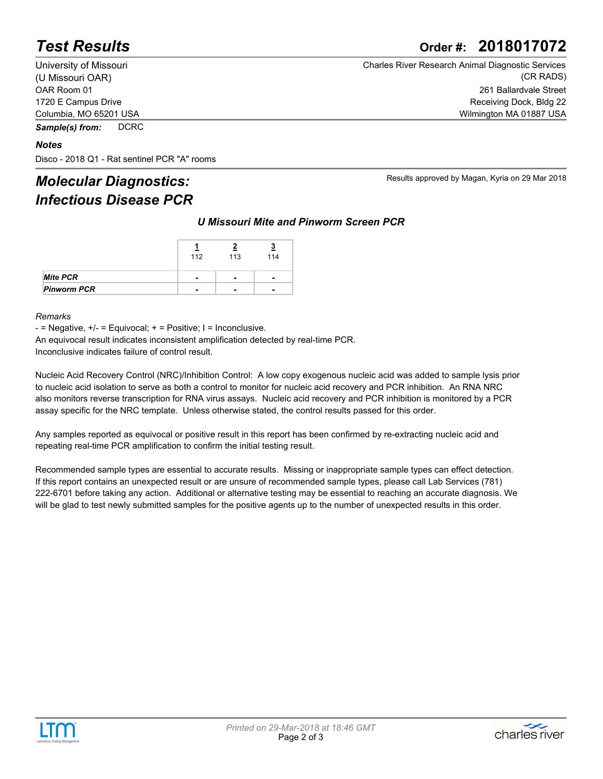## *Test Results* **Order #: 2018017072**

University of Missouri (U Missouri OAR) OAR Room 01 1720 E Campus Drive Columbia, MO 65201 USA

*Sample(s) from:* DCRC

#### *Notes*

Disco - 2018 Q1 - Rat sentinel PCR "A" rooms

## *Molecular Diagnostics: Infectious Disease PCR*

| <b>Charles River Research Animal Diagnostic Services</b> |
|----------------------------------------------------------|
| (CR RADS)                                                |
| 261 Ballardvale Street                                   |
| Receiving Dock, Bldg 22                                  |
| Wilmington MA 01887 USA                                  |

Results approved by Magan, Kyria on 29 Mar 2018

*U Missouri Mite and Pinworm Screen PCR*

|                    | 112 | 113            | 114                      |  |
|--------------------|-----|----------------|--------------------------|--|
| Mite PCR           | -   | $\blacksquare$ | $\overline{\phantom{0}}$ |  |
| <b>Pinworm PCR</b> | -   | $\blacksquare$ | $\overline{\phantom{0}}$ |  |

#### *Remarks*

 $-$  = Negative,  $+/-$  = Equivocal;  $+$  = Positive; I = Inconclusive.

An equivocal result indicates inconsistent amplification detected by real-time PCR. Inconclusive indicates failure of control result.

Nucleic Acid Recovery Control (NRC)/Inhibition Control: A low copy exogenous nucleic acid was added to sample lysis prior to nucleic acid isolation to serve as both a control to monitor for nucleic acid recovery and PCR inhibition. An RNA NRC also monitors reverse transcription for RNA virus assays. Nucleic acid recovery and PCR inhibition is monitored by a PCR assay specific for the NRC template. Unless otherwise stated, the control results passed for this order.

Any samples reported as equivocal or positive result in this report has been confirmed by re-extracting nucleic acid and repeating real-time PCR amplification to confirm the initial testing result.

Recommended sample types are essential to accurate results. Missing or inappropriate sample types can effect detection. If this report contains an unexpected result or are unsure of recommended sample types, please call Lab Services (781) 222-6701 before taking any action. Additional or alternative testing may be essential to reaching an accurate diagnosis. We will be glad to test newly submitted samples for the positive agents up to the number of unexpected results in this order.



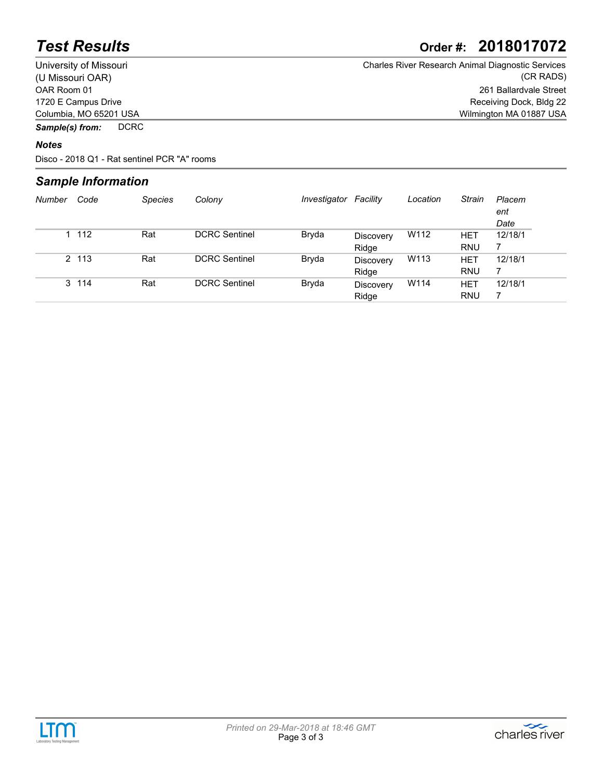## *Test Results* **Order #: 2018017072**

University of Missouri (U Missouri OAR) OAR Room 01 1720 E Campus Drive Columbia, MO 65201 USA Charles River Research Animal Diagnostic Services (CR RADS) 261 Ballardvale Street Receiving Dock, Bldg 22 Wilmington MA 01887 USA

*Sample(s) from:* DCRC

#### *Notes*

Disco - 2018 Q1 - Rat sentinel PCR "A" rooms

#### *Sample Information*

| Number | Code  | <b>Species</b> | Colony               | Investigator | Facility                  | Location | Strain                   | Placem<br>ent<br>Date |
|--------|-------|----------------|----------------------|--------------|---------------------------|----------|--------------------------|-----------------------|
|        | 1 112 | Rat            | <b>DCRC</b> Sentinel | Bryda        | Discovery<br>Ridge        | W112     | <b>HET</b><br><b>RNU</b> | 12/18/1               |
|        | 2 113 | Rat            | <b>DCRC</b> Sentinel | Bryda        | Discovery<br>Ridge        | W113     | <b>HET</b><br><b>RNU</b> | 12/18/1               |
|        | 3 114 | Rat            | <b>DCRC</b> Sentinel | Bryda        | <b>Discovery</b><br>Ridge | W114     | <b>HET</b><br><b>RNU</b> | 12/18/1               |



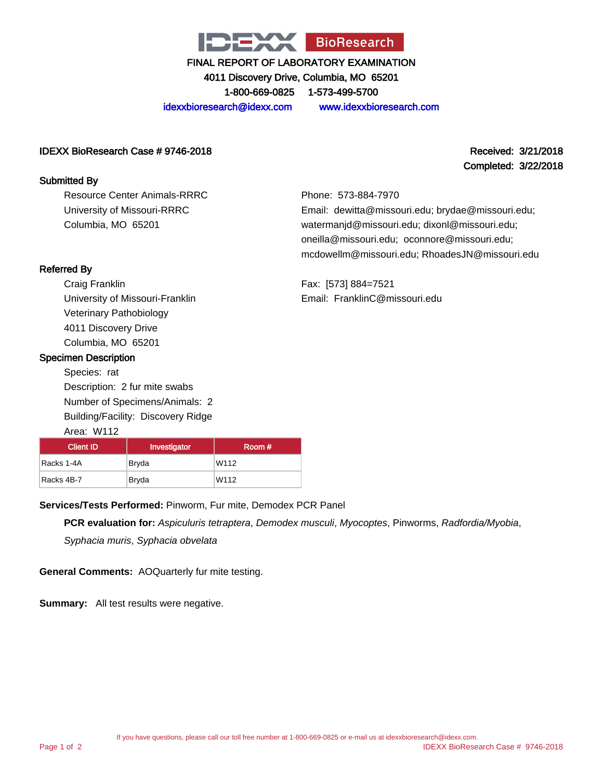

4011 Discovery Drive, Columbia, MO 65201

1-800-669-0825 1-573-499-5700

idexxbioresearch@idexx.com www.idexxbioresearch.com

#### IDEXX BioResearch Case # 9746-2018 Received: 3/21/2018

#### Submitted By

Resource Center Animals-RRRC University of Missouri-RRRC Columbia, MO 65201

Completed: 3/22/2018

Phone: 573-884-7970 Email: dewitta@missouri.edu; brydae@missouri.edu; watermanjd@missouri.edu; dixonl@missouri.edu; oneilla@missouri.edu; oconnore@missouri.edu; mcdowellm@missouri.edu; RhoadesJN@missouri.edu

Fax: [573] 884=7521 Email: FranklinC@missouri.edu

#### Referred By

Craig Franklin University of Missouri-Franklin Veterinary Pathobiology 4011 Discovery Drive Columbia, MO 65201

#### Specimen Description

Species: rat Description: 2 fur mite swabs Number of Specimens/Animals: 2 Building/Facility: Discovery Ridge

#### Area: W112

| <b>Client ID</b> | Investigator | Room # |  |  |
|------------------|--------------|--------|--|--|
| Racks 1-4A       | Bryda        | W112   |  |  |
| Racks 4B-7       | Bryda        | W112   |  |  |

**Services/Tests Performed:** Pinworm, Fur mite, Demodex PCR Panel

**PCR evaluation for:** Aspiculuris tetraptera, Demodex musculi, Myocoptes, Pinworms, Radfordia/Myobia,

Syphacia muris, Syphacia obvelata

**General Comments:** AOQuarterly fur mite testing.

**Summary:** All test results were negative.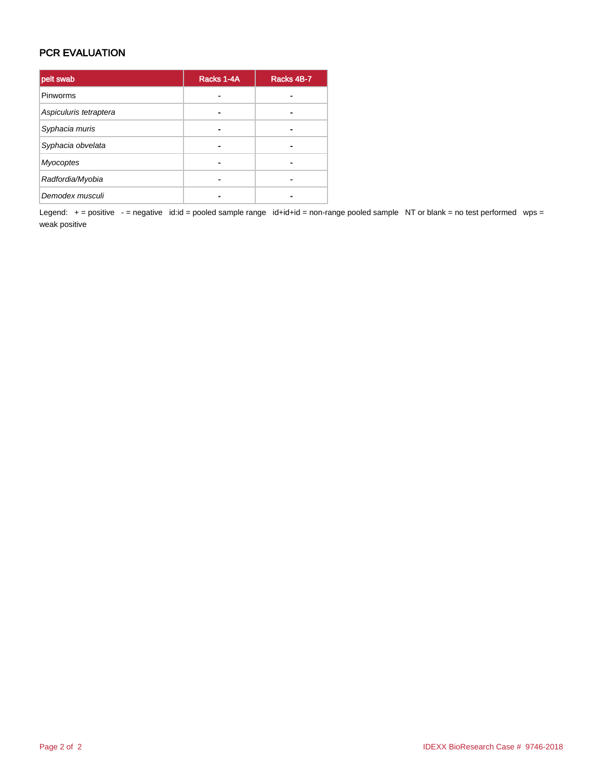#### PCR EVALUATION

| pelt swab              | Racks 1-4A | Racks 4B-7 |
|------------------------|------------|------------|
| Pinworms               |            |            |
| Aspiculuris tetraptera |            |            |
| Syphacia muris         |            |            |
| Syphacia obvelata      | -          |            |
| <b>Myocoptes</b>       |            |            |
| Radfordia/Myobia       |            |            |
| Demodex musculi        |            |            |

Legend: + = positive - = negative id:id = pooled sample range id+id+id = non-range pooled sample NT or blank = no test performed wps = weak positive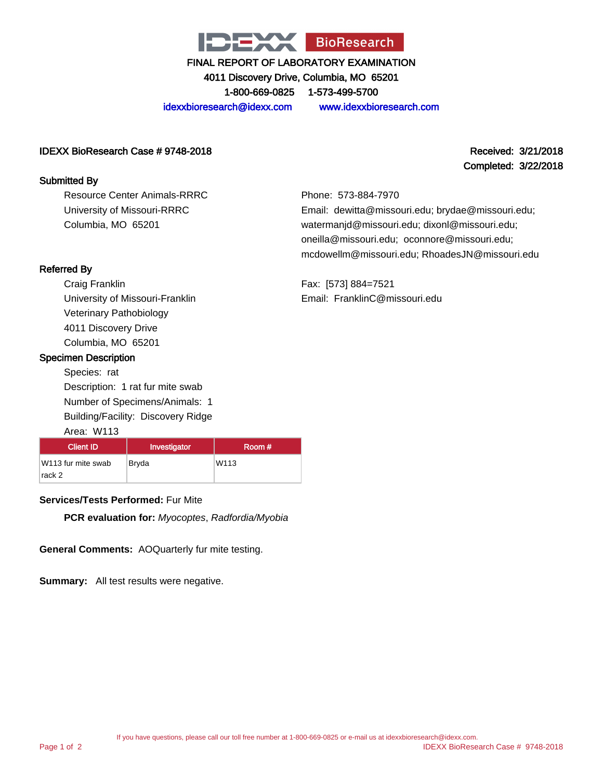

4011 Discovery Drive, Columbia, MO 65201

1-800-669-0825 1-573-499-5700

idexxbioresearch@idexx.com www.idexxbioresearch.com

#### IDEXX BioResearch Case # 9748-2018 Received: 3/21/2018

#### Submitted By

Resource Center Animals-RRRC University of Missouri-RRRC Columbia, MO 65201

# Completed: 3/22/2018

Phone: 573-884-7970 Email: dewitta@missouri.edu; brydae@missouri.edu; watermanjd@missouri.edu; dixonl@missouri.edu; oneilla@missouri.edu; oconnore@missouri.edu; mcdowellm@missouri.edu; RhoadesJN@missouri.edu

Fax: [573] 884=7521 Email: FranklinC@missouri.edu

#### Referred By

Craig Franklin University of Missouri-Franklin Veterinary Pathobiology 4011 Discovery Drive Columbia, MO 65201

#### Specimen Description

Species: rat Description: 1 rat fur mite swab Number of Specimens/Animals: 1 Building/Facility: Discovery Ridge

#### Area: W113

| <b>Client ID</b>   | Investigator | Room # |
|--------------------|--------------|--------|
| W113 fur mite swab | Bryda        | W113   |
| rack 2             |              |        |

#### **Services/Tests Performed:** Fur Mite

**PCR evaluation for:** Myocoptes, Radfordia/Myobia

**General Comments:** AOQuarterly fur mite testing.

**Summary:** All test results were negative.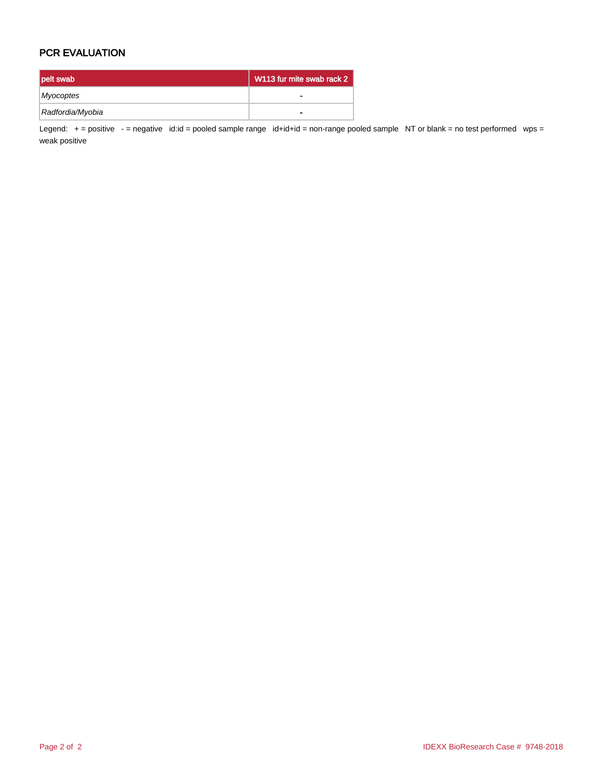#### PCR EVALUATION

| pelt swab        | W113 fur mite swab rack 2 |
|------------------|---------------------------|
| Myocoptes        |                           |
| Radfordia/Myobia | $\blacksquare$            |

Legend: + = positive - = negative id:id = pooled sample range id+id+id = non-range pooled sample NT or blank = no test performed wps = weak positive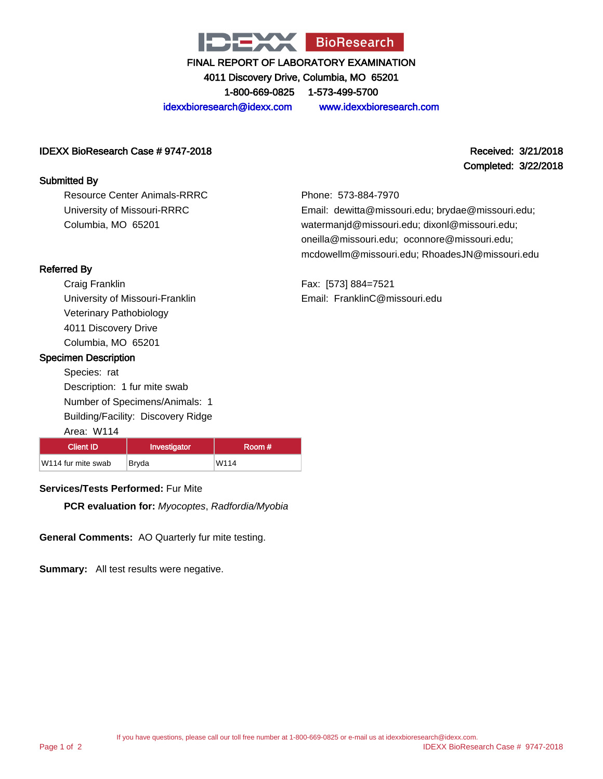

4011 Discovery Drive, Columbia, MO 65201

1-800-669-0825 1-573-499-5700

idexxbioresearch@idexx.com www.idexxbioresearch.com

#### IDEXX BioResearch Case # 9747-2018 Received: 3/21/2018

#### Submitted By

Resource Center Animals-RRRC University of Missouri-RRRC Columbia, MO 65201

Completed: 3/22/2018

Phone: 573-884-7970 Email: dewitta@missouri.edu; brydae@missouri.edu; watermanjd@missouri.edu; dixonl@missouri.edu; oneilla@missouri.edu; oconnore@missouri.edu; mcdowellm@missouri.edu; RhoadesJN@missouri.edu

Fax: [573] 884=7521 Email: FranklinC@missouri.edu

#### Referred By

Craig Franklin University of Missouri-Franklin Veterinary Pathobiology 4011 Discovery Drive Columbia, MO 65201

#### Specimen Description

Species: rat Description: 1 fur mite swab Number of Specimens/Animals: 1 Building/Facility: Discovery Ridge

#### Area: W114 Client ID | Investigator | Room # W114 fur mite swab Bryda W114

#### **Services/Tests Performed:** Fur Mite

**PCR evaluation for:** Myocoptes, Radfordia/Myobia

**General Comments:** AO Quarterly fur mite testing.

**Summary:** All test results were negative.